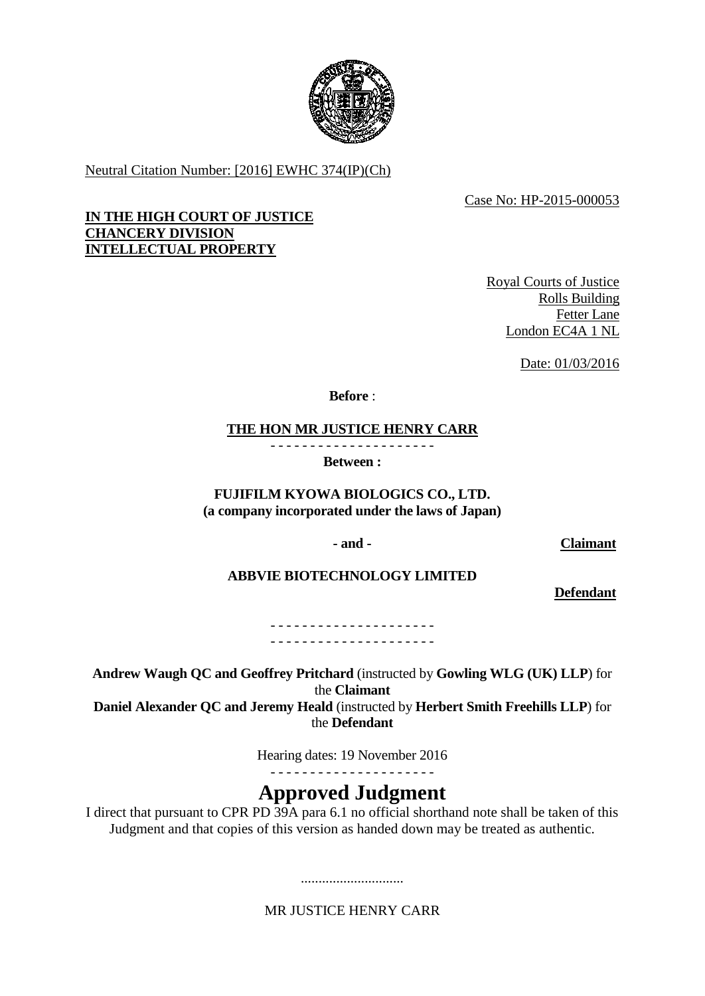

Neutral Citation Number: [2016] EWHC 374(IP)(Ch)

Case No: HP-2015-000053

## **IN THE HIGH COURT OF JUSTICE CHANCERY DIVISION INTELLECTUAL PROPERTY**

Royal Courts of Justice Rolls Building Fetter Lane London EC4A 1 NL

Date: 01/03/2016

**Before** :

**THE HON MR JUSTICE HENRY CARR**

- - - - - - - - - - - - - - - - - - - - - **Between :**

**FUJIFILM KYOWA BIOLOGICS CO., LTD. (a company incorporated under the laws of Japan)**

**- and - Claimant**

# **ABBVIE BIOTECHNOLOGY LIMITED**

**Defendant**

- - - - - - - - - - - - - - - - - - - - - - - - - - - - - - - - - - - - - - - - - -

**Andrew Waugh QC and Geoffrey Pritchard** (instructed by **Gowling WLG (UK) LLP**) for the **Claimant**

**Daniel Alexander QC and Jeremy Heald** (instructed by **Herbert Smith Freehills LLP**) for the **Defendant**

Hearing dates: 19 November 2016

- - - - - - - - - - - - - - - - - - - - -

# **Approved Judgment**

I direct that pursuant to CPR PD 39A para 6.1 no official shorthand note shall be taken of this Judgment and that copies of this version as handed down may be treated as authentic.

MR JUSTICE HENRY CARR

.............................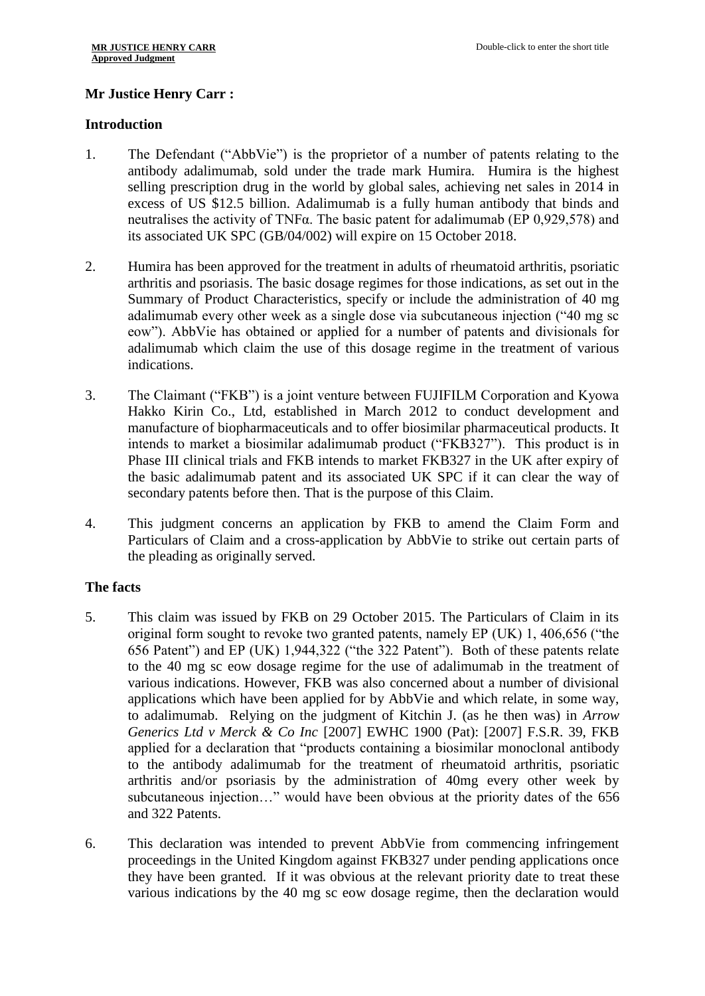# **Mr Justice Henry Carr :**

# **Introduction**

- 1. The Defendant ("AbbVie") is the proprietor of a number of patents relating to the antibody adalimumab, sold under the trade mark Humira. Humira is the highest selling prescription drug in the world by global sales, achieving net sales in 2014 in excess of US \$12.5 billion. Adalimumab is a fully human antibody that binds and neutralises the activity of TNFα. The basic patent for adalimumab (EP 0,929,578) and its associated UK SPC (GB/04/002) will expire on 15 October 2018.
- 2. Humira has been approved for the treatment in adults of rheumatoid arthritis, psoriatic arthritis and psoriasis. The basic dosage regimes for those indications, as set out in the Summary of Product Characteristics, specify or include the administration of 40 mg adalimumab every other week as a single dose via subcutaneous injection ("40 mg sc eow"). AbbVie has obtained or applied for a number of patents and divisionals for adalimumab which claim the use of this dosage regime in the treatment of various indications.
- 3. The Claimant ("FKB") is a joint venture between FUJIFILM Corporation and Kyowa Hakko Kirin Co., Ltd, established in March 2012 to conduct development and manufacture of biopharmaceuticals and to offer biosimilar pharmaceutical products. It intends to market a biosimilar adalimumab product ("FKB327"). This product is in Phase III clinical trials and FKB intends to market FKB327 in the UK after expiry of the basic adalimumab patent and its associated UK SPC if it can clear the way of secondary patents before then. That is the purpose of this Claim.
- 4. This judgment concerns an application by FKB to amend the Claim Form and Particulars of Claim and a cross-application by AbbVie to strike out certain parts of the pleading as originally served.

# **The facts**

- 5. This claim was issued by FKB on 29 October 2015. The Particulars of Claim in its original form sought to revoke two granted patents, namely EP (UK) 1, 406,656 ("the 656 Patent") and EP (UK) 1,944,322 ("the 322 Patent"). Both of these patents relate to the 40 mg sc eow dosage regime for the use of adalimumab in the treatment of various indications. However, FKB was also concerned about a number of divisional applications which have been applied for by AbbVie and which relate, in some way, to adalimumab. Relying on the judgment of Kitchin J. (as he then was) in *Arrow Generics Ltd v Merck & Co Inc* [2007] EWHC 1900 (Pat): [2007] F.S.R. 39, FKB applied for a declaration that "products containing a biosimilar monoclonal antibody to the antibody adalimumab for the treatment of rheumatoid arthritis, psoriatic arthritis and/or psoriasis by the administration of 40mg every other week by subcutaneous injection…" would have been obvious at the priority dates of the 656 and 322 Patents.
- 6. This declaration was intended to prevent AbbVie from commencing infringement proceedings in the United Kingdom against FKB327 under pending applications once they have been granted. If it was obvious at the relevant priority date to treat these various indications by the 40 mg sc eow dosage regime, then the declaration would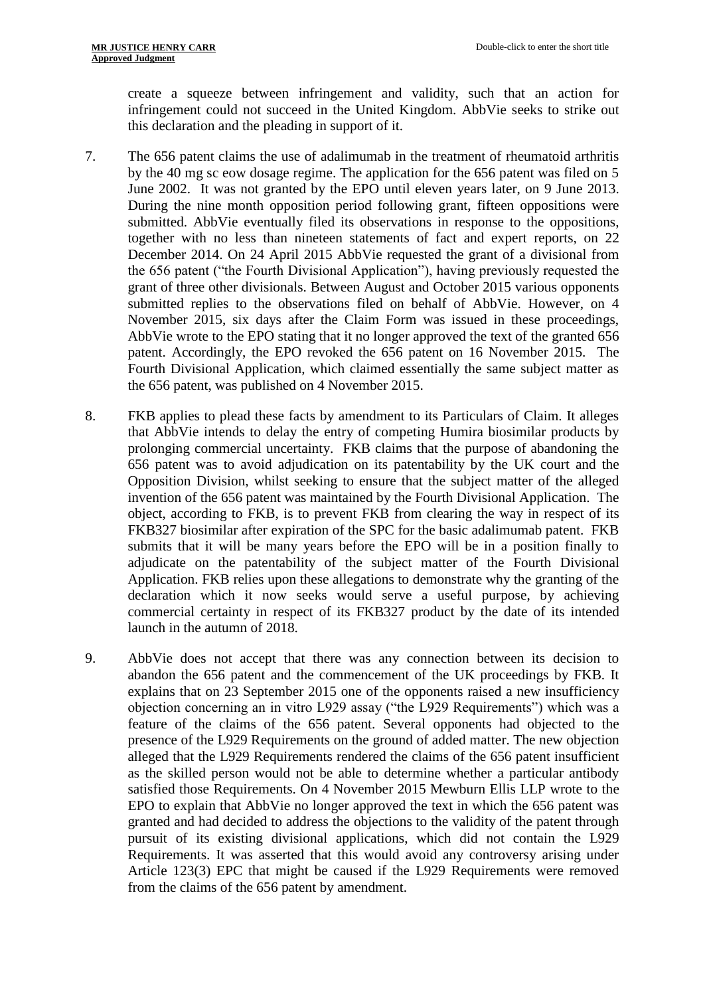create a squeeze between infringement and validity, such that an action for infringement could not succeed in the United Kingdom. AbbVie seeks to strike out this declaration and the pleading in support of it.

- 7. The 656 patent claims the use of adalimumab in the treatment of rheumatoid arthritis by the 40 mg sc eow dosage regime. The application for the 656 patent was filed on 5 June 2002. It was not granted by the EPO until eleven years later, on 9 June 2013. During the nine month opposition period following grant, fifteen oppositions were submitted. AbbVie eventually filed its observations in response to the oppositions, together with no less than nineteen statements of fact and expert reports, on 22 December 2014. On 24 April 2015 AbbVie requested the grant of a divisional from the 656 patent ("the Fourth Divisional Application"), having previously requested the grant of three other divisionals. Between August and October 2015 various opponents submitted replies to the observations filed on behalf of AbbVie. However, on 4 November 2015, six days after the Claim Form was issued in these proceedings, AbbVie wrote to the EPO stating that it no longer approved the text of the granted 656 patent. Accordingly, the EPO revoked the 656 patent on 16 November 2015. The Fourth Divisional Application, which claimed essentially the same subject matter as the 656 patent, was published on 4 November 2015.
- 8. FKB applies to plead these facts by amendment to its Particulars of Claim. It alleges that AbbVie intends to delay the entry of competing Humira biosimilar products by prolonging commercial uncertainty. FKB claims that the purpose of abandoning the 656 patent was to avoid adjudication on its patentability by the UK court and the Opposition Division, whilst seeking to ensure that the subject matter of the alleged invention of the 656 patent was maintained by the Fourth Divisional Application. The object, according to FKB, is to prevent FKB from clearing the way in respect of its FKB327 biosimilar after expiration of the SPC for the basic adalimumab patent. FKB submits that it will be many years before the EPO will be in a position finally to adjudicate on the patentability of the subject matter of the Fourth Divisional Application. FKB relies upon these allegations to demonstrate why the granting of the declaration which it now seeks would serve a useful purpose, by achieving commercial certainty in respect of its FKB327 product by the date of its intended launch in the autumn of 2018.
- 9. AbbVie does not accept that there was any connection between its decision to abandon the 656 patent and the commencement of the UK proceedings by FKB. It explains that on 23 September 2015 one of the opponents raised a new insufficiency objection concerning an in vitro L929 assay ("the L929 Requirements") which was a feature of the claims of the 656 patent. Several opponents had objected to the presence of the L929 Requirements on the ground of added matter. The new objection alleged that the L929 Requirements rendered the claims of the 656 patent insufficient as the skilled person would not be able to determine whether a particular antibody satisfied those Requirements. On 4 November 2015 Mewburn Ellis LLP wrote to the EPO to explain that AbbVie no longer approved the text in which the 656 patent was granted and had decided to address the objections to the validity of the patent through pursuit of its existing divisional applications, which did not contain the L929 Requirements. It was asserted that this would avoid any controversy arising under Article 123(3) EPC that might be caused if the L929 Requirements were removed from the claims of the 656 patent by amendment.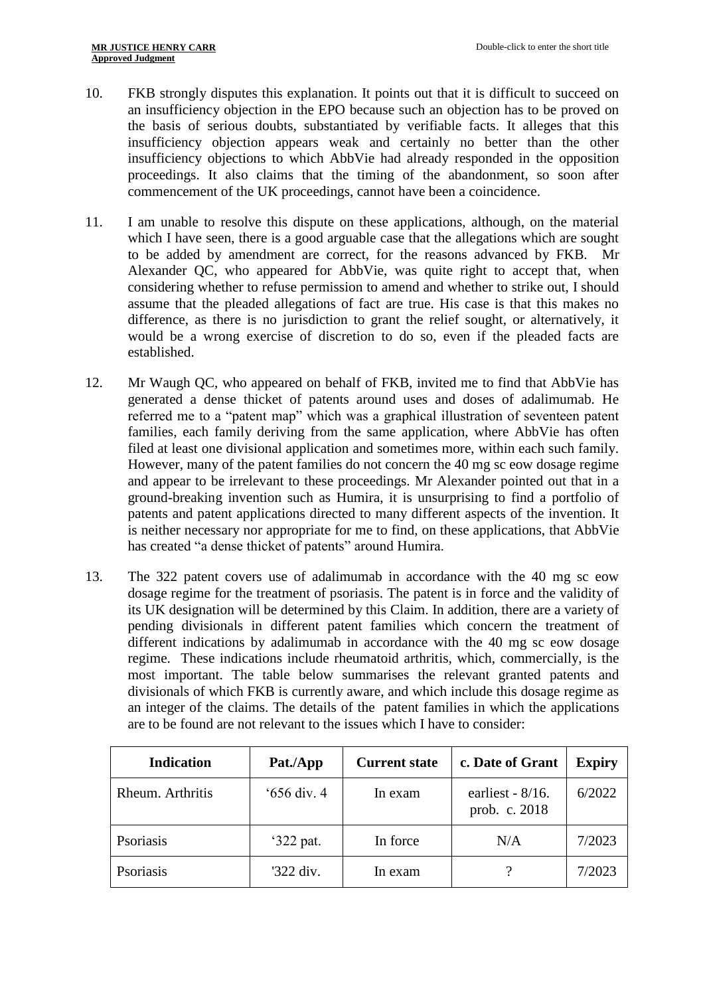- 10. FKB strongly disputes this explanation. It points out that it is difficult to succeed on an insufficiency objection in the EPO because such an objection has to be proved on the basis of serious doubts, substantiated by verifiable facts. It alleges that this insufficiency objection appears weak and certainly no better than the other insufficiency objections to which AbbVie had already responded in the opposition proceedings. It also claims that the timing of the abandonment, so soon after commencement of the UK proceedings, cannot have been a coincidence.
- 11. I am unable to resolve this dispute on these applications, although, on the material which I have seen, there is a good arguable case that the allegations which are sought to be added by amendment are correct, for the reasons advanced by FKB. Mr Alexander QC, who appeared for AbbVie, was quite right to accept that, when considering whether to refuse permission to amend and whether to strike out, I should assume that the pleaded allegations of fact are true. His case is that this makes no difference, as there is no jurisdiction to grant the relief sought, or alternatively, it would be a wrong exercise of discretion to do so, even if the pleaded facts are established.
- 12. Mr Waugh QC, who appeared on behalf of FKB, invited me to find that AbbVie has generated a dense thicket of patents around uses and doses of adalimumab. He referred me to a "patent map" which was a graphical illustration of seventeen patent families, each family deriving from the same application, where AbbVie has often filed at least one divisional application and sometimes more, within each such family. However, many of the patent families do not concern the 40 mg sc eow dosage regime and appear to be irrelevant to these proceedings. Mr Alexander pointed out that in a ground-breaking invention such as Humira, it is unsurprising to find a portfolio of patents and patent applications directed to many different aspects of the invention. It is neither necessary nor appropriate for me to find, on these applications, that AbbVie has created "a dense thicket of patents" around Humira.
- 13. The 322 patent covers use of adalimumab in accordance with the 40 mg sc eow dosage regime for the treatment of psoriasis. The patent is in force and the validity of its UK designation will be determined by this Claim. In addition, there are a variety of pending divisionals in different patent families which concern the treatment of different indications by adalimumab in accordance with the 40 mg sc eow dosage regime. These indications include rheumatoid arthritis, which, commercially, is the most important. The table below summarises the relevant granted patents and divisionals of which FKB is currently aware, and which include this dosage regime as an integer of the claims. The details of the patent families in which the applications are to be found are not relevant to the issues which I have to consider:

| <b>Indication</b> | Pat./App     | <b>Current state</b> | c. Date of Grant                     | <b>Expiry</b> |
|-------------------|--------------|----------------------|--------------------------------------|---------------|
| Rheum. Arthritis  | $656$ div. 4 | In exam              | earliest - $8/16$ .<br>prob. c. 2018 | 6/2022        |
| Psoriasis         | '322 pat.    | In force             | N/A                                  | 7/2023        |
| Psoriasis         | '322 div.    | In exam              |                                      | 7/2023        |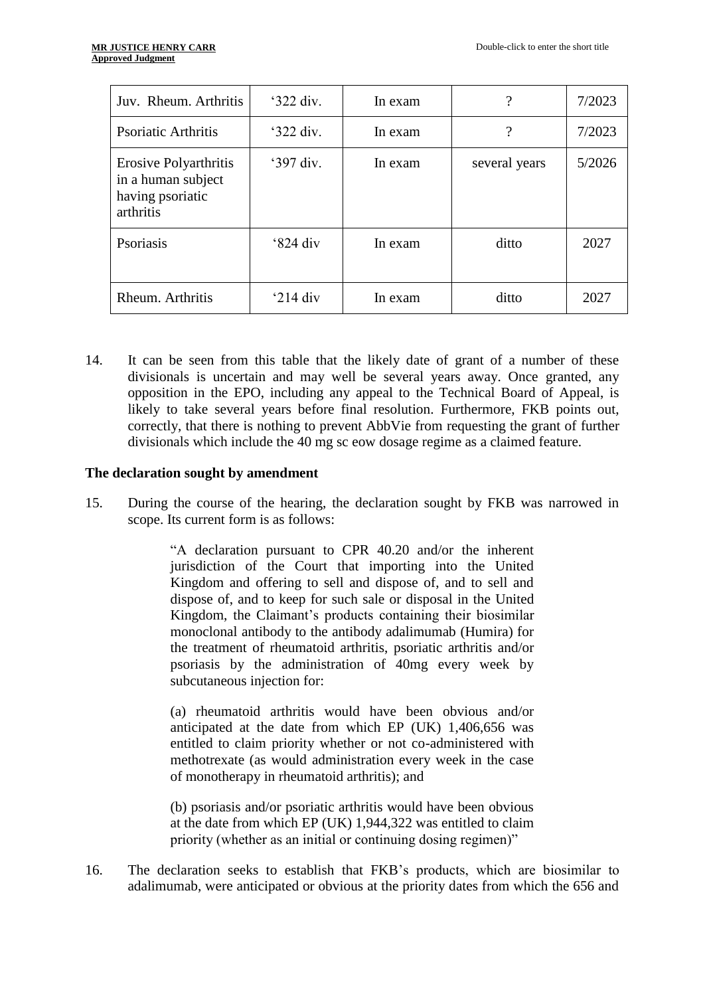| Juv. Rheum. Arthritis                                                        | $322 \div 32$      | In exam | $\overline{\mathcal{L}}$ | 7/2023 |
|------------------------------------------------------------------------------|--------------------|---------|--------------------------|--------|
| <b>Psoriatic Arthritis</b>                                                   | $^{\circ}322$ div. | In exam | ?                        | 7/2023 |
| Erosive Polyarthritis<br>in a human subject<br>having psoriatic<br>arthritis | '397 div.          | In exam | several years            | 5/2026 |
| Psoriasis                                                                    | $^{\circ}824$ div  | In exam | ditto                    | 2027   |
| Rheum. Arthritis                                                             | ' $214$ div        | In exam | ditto                    | 2027   |

14. It can be seen from this table that the likely date of grant of a number of these divisionals is uncertain and may well be several years away. Once granted, any opposition in the EPO, including any appeal to the Technical Board of Appeal, is likely to take several years before final resolution. Furthermore, FKB points out, correctly, that there is nothing to prevent AbbVie from requesting the grant of further divisionals which include the 40 mg sc eow dosage regime as a claimed feature.

#### **The declaration sought by amendment**

15. During the course of the hearing, the declaration sought by FKB was narrowed in scope. Its current form is as follows:

> "A declaration pursuant to CPR 40.20 and/or the inherent jurisdiction of the Court that importing into the United Kingdom and offering to sell and dispose of, and to sell and dispose of, and to keep for such sale or disposal in the United Kingdom, the Claimant's products containing their biosimilar monoclonal antibody to the antibody adalimumab (Humira) for the treatment of rheumatoid arthritis, psoriatic arthritis and/or psoriasis by the administration of 40mg every week by subcutaneous injection for:

> (a) rheumatoid arthritis would have been obvious and/or anticipated at the date from which EP (UK) 1,406,656 was entitled to claim priority whether or not co-administered with methotrexate (as would administration every week in the case of monotherapy in rheumatoid arthritis); and

> (b) psoriasis and/or psoriatic arthritis would have been obvious at the date from which EP (UK) 1,944,322 was entitled to claim priority (whether as an initial or continuing dosing regimen)"

16. The declaration seeks to establish that FKB's products, which are biosimilar to adalimumab, were anticipated or obvious at the priority dates from which the 656 and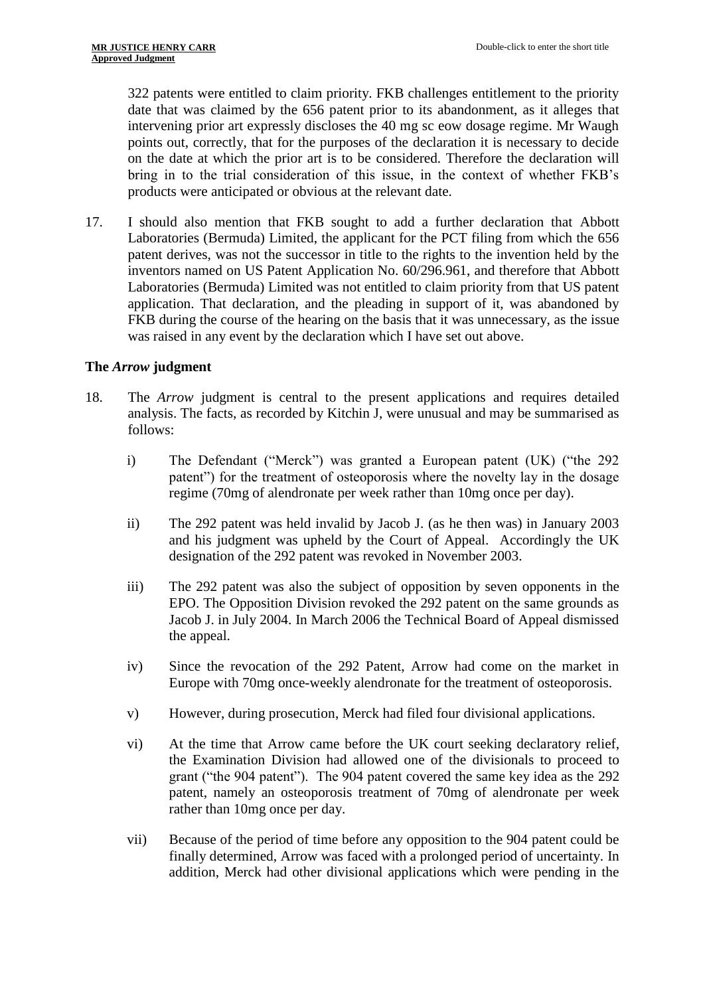322 patents were entitled to claim priority. FKB challenges entitlement to the priority date that was claimed by the 656 patent prior to its abandonment, as it alleges that intervening prior art expressly discloses the 40 mg sc eow dosage regime. Mr Waugh points out, correctly, that for the purposes of the declaration it is necessary to decide on the date at which the prior art is to be considered. Therefore the declaration will bring in to the trial consideration of this issue, in the context of whether FKB's products were anticipated or obvious at the relevant date.

17. I should also mention that FKB sought to add a further declaration that Abbott Laboratories (Bermuda) Limited, the applicant for the PCT filing from which the 656 patent derives, was not the successor in title to the rights to the invention held by the inventors named on US Patent Application No. 60/296.961, and therefore that Abbott Laboratories (Bermuda) Limited was not entitled to claim priority from that US patent application. That declaration, and the pleading in support of it, was abandoned by FKB during the course of the hearing on the basis that it was unnecessary, as the issue was raised in any event by the declaration which I have set out above.

# **The** *Arrow* **judgment**

- 18. The *Arrow* judgment is central to the present applications and requires detailed analysis. The facts, as recorded by Kitchin J, were unusual and may be summarised as follows:
	- i) The Defendant ("Merck") was granted a European patent (UK) ("the 292 patent") for the treatment of osteoporosis where the novelty lay in the dosage regime (70mg of alendronate per week rather than 10mg once per day).
	- ii) The 292 patent was held invalid by Jacob J. (as he then was) in January 2003 and his judgment was upheld by the Court of Appeal. Accordingly the UK designation of the 292 patent was revoked in November 2003.
	- iii) The 292 patent was also the subject of opposition by seven opponents in the EPO. The Opposition Division revoked the 292 patent on the same grounds as Jacob J. in July 2004. In March 2006 the Technical Board of Appeal dismissed the appeal.
	- iv) Since the revocation of the 292 Patent, Arrow had come on the market in Europe with 70mg once-weekly alendronate for the treatment of osteoporosis.
	- v) However, during prosecution, Merck had filed four divisional applications.
	- vi) At the time that Arrow came before the UK court seeking declaratory relief, the Examination Division had allowed one of the divisionals to proceed to grant ("the 904 patent"). The 904 patent covered the same key idea as the 292 patent, namely an osteoporosis treatment of 70mg of alendronate per week rather than 10mg once per day.
	- vii) Because of the period of time before any opposition to the 904 patent could be finally determined, Arrow was faced with a prolonged period of uncertainty. In addition, Merck had other divisional applications which were pending in the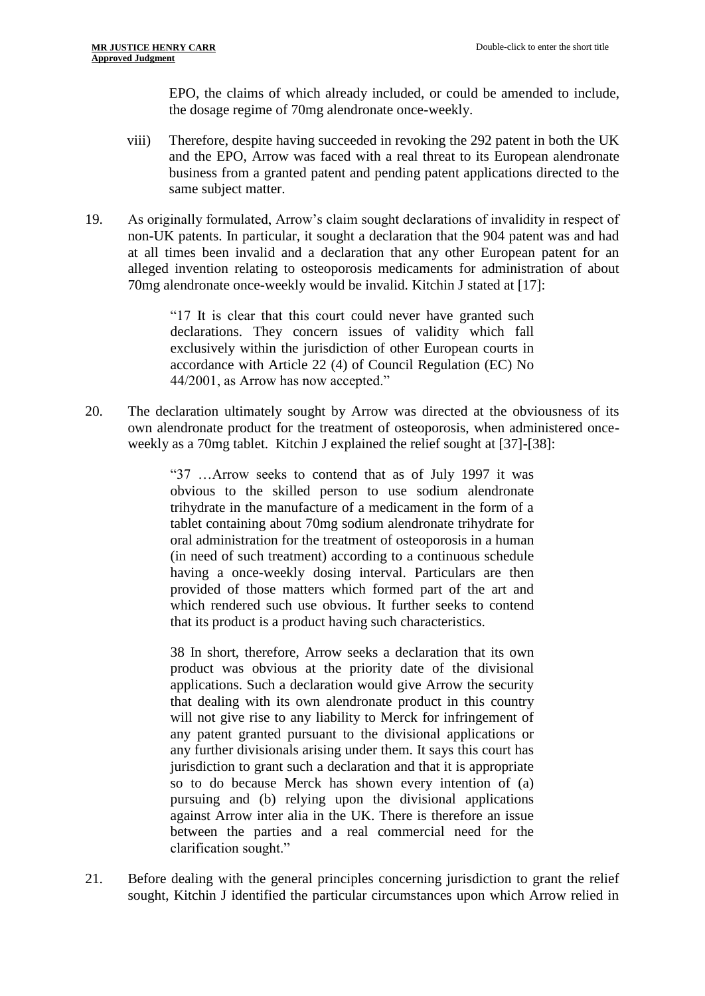EPO, the claims of which already included, or could be amended to include, the dosage regime of 70mg alendronate once-weekly.

- viii) Therefore, despite having succeeded in revoking the 292 patent in both the UK and the EPO, Arrow was faced with a real threat to its European alendronate business from a granted patent and pending patent applications directed to the same subject matter.
- 19. As originally formulated, Arrow's claim sought declarations of invalidity in respect of non-UK patents. In particular, it sought a declaration that the 904 patent was and had at all times been invalid and a declaration that any other European patent for an alleged invention relating to osteoporosis medicaments for administration of about 70mg alendronate once-weekly would be invalid. Kitchin J stated at [17]:

"17 It is clear that this court could never have granted such declarations. They concern issues of validity which fall exclusively within the jurisdiction of other European courts in accordance with Article 22 (4) of Council Regulation (EC) No 44/2001, as Arrow has now accepted."

20. The declaration ultimately sought by Arrow was directed at the obviousness of its own alendronate product for the treatment of osteoporosis, when administered onceweekly as a 70mg tablet. Kitchin J explained the relief sought at [37]-[38]:

> "37 …Arrow seeks to contend that as of July 1997 it was obvious to the skilled person to use sodium alendronate trihydrate in the manufacture of a medicament in the form of a tablet containing about 70mg sodium alendronate trihydrate for oral administration for the treatment of osteoporosis in a human (in need of such treatment) according to a continuous schedule having a once-weekly dosing interval. Particulars are then provided of those matters which formed part of the art and which rendered such use obvious. It further seeks to contend that its product is a product having such characteristics.

> 38 In short, therefore, Arrow seeks a declaration that its own product was obvious at the priority date of the divisional applications. Such a declaration would give Arrow the security that dealing with its own alendronate product in this country will not give rise to any liability to Merck for infringement of any patent granted pursuant to the divisional applications or any further divisionals arising under them. It says this court has jurisdiction to grant such a declaration and that it is appropriate so to do because Merck has shown every intention of (a) pursuing and (b) relying upon the divisional applications against Arrow inter alia in the UK. There is therefore an issue between the parties and a real commercial need for the clarification sought."

21. Before dealing with the general principles concerning jurisdiction to grant the relief sought, Kitchin J identified the particular circumstances upon which Arrow relied in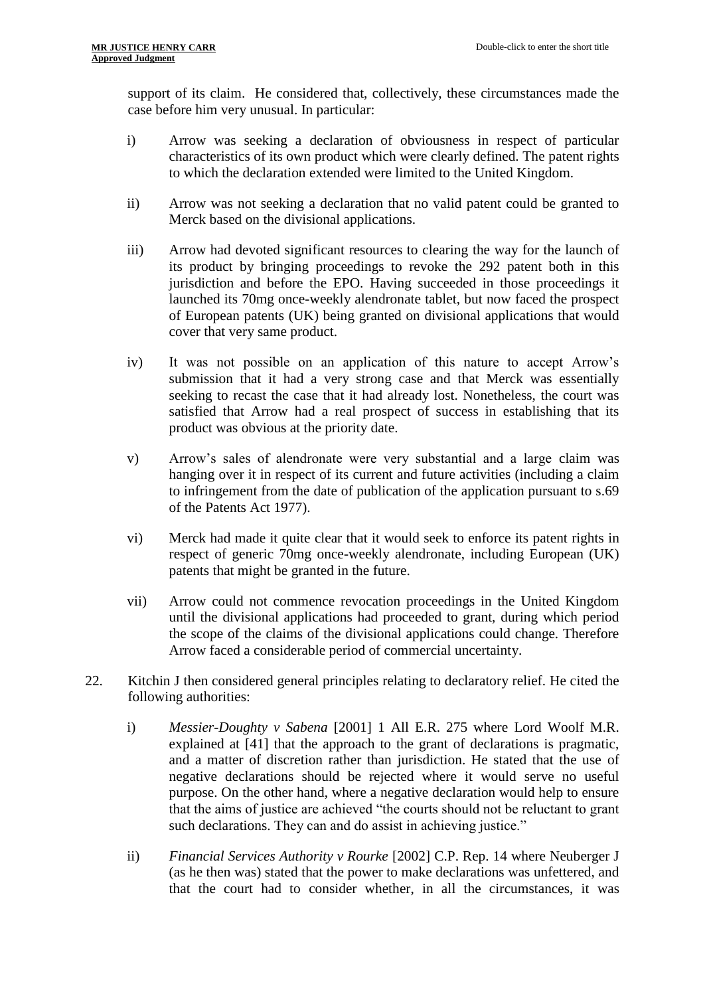support of its claim. He considered that, collectively, these circumstances made the case before him very unusual. In particular:

- i) Arrow was seeking a declaration of obviousness in respect of particular characteristics of its own product which were clearly defined. The patent rights to which the declaration extended were limited to the United Kingdom.
- ii) Arrow was not seeking a declaration that no valid patent could be granted to Merck based on the divisional applications.
- iii) Arrow had devoted significant resources to clearing the way for the launch of its product by bringing proceedings to revoke the 292 patent both in this jurisdiction and before the EPO. Having succeeded in those proceedings it launched its 70mg once-weekly alendronate tablet, but now faced the prospect of European patents (UK) being granted on divisional applications that would cover that very same product.
- iv) It was not possible on an application of this nature to accept Arrow's submission that it had a very strong case and that Merck was essentially seeking to recast the case that it had already lost. Nonetheless, the court was satisfied that Arrow had a real prospect of success in establishing that its product was obvious at the priority date.
- v) Arrow's sales of alendronate were very substantial and a large claim was hanging over it in respect of its current and future activities (including a claim to infringement from the date of publication of the application pursuant to s.69 of the Patents Act 1977).
- vi) Merck had made it quite clear that it would seek to enforce its patent rights in respect of generic 70mg once-weekly alendronate, including European (UK) patents that might be granted in the future.
- vii) Arrow could not commence revocation proceedings in the United Kingdom until the divisional applications had proceeded to grant, during which period the scope of the claims of the divisional applications could change. Therefore Arrow faced a considerable period of commercial uncertainty.
- 22. Kitchin J then considered general principles relating to declaratory relief. He cited the following authorities:
	- i) *Messier-Doughty v Sabena* [2001] 1 All E.R. 275 where Lord Woolf M.R. explained at [41] that the approach to the grant of declarations is pragmatic, and a matter of discretion rather than jurisdiction. He stated that the use of negative declarations should be rejected where it would serve no useful purpose. On the other hand, where a negative declaration would help to ensure that the aims of justice are achieved "the courts should not be reluctant to grant such declarations. They can and do assist in achieving justice."
	- ii) *Financial Services Authority v Rourke* [2002] C.P. Rep. 14 where Neuberger J (as he then was) stated that the power to make declarations was unfettered, and that the court had to consider whether, in all the circumstances, it was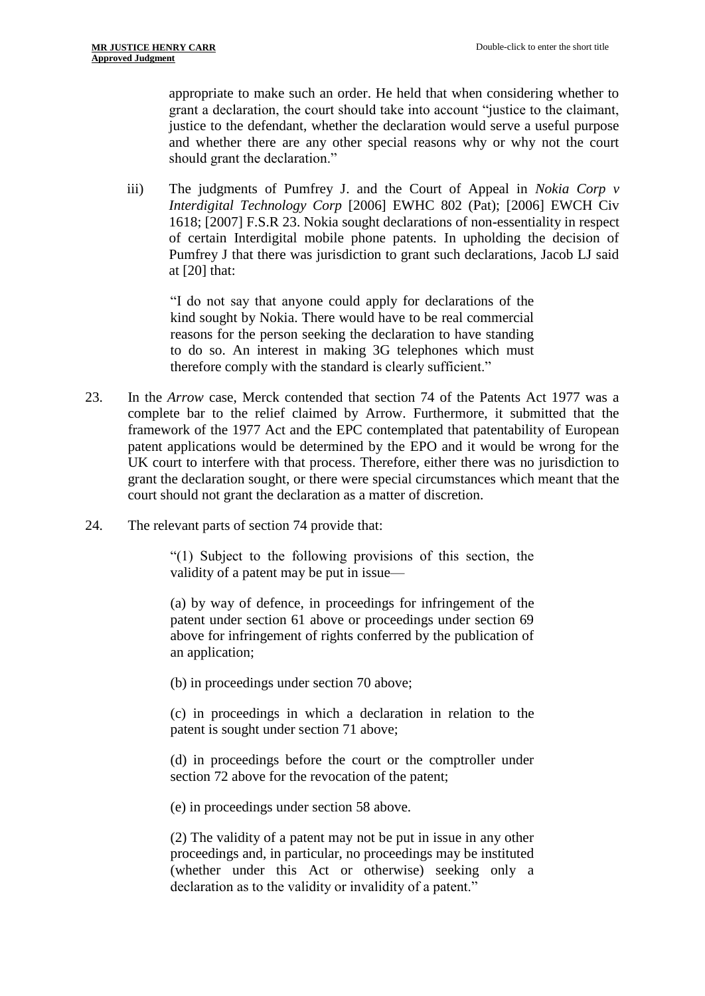appropriate to make such an order. He held that when considering whether to grant a declaration, the court should take into account "justice to the claimant, justice to the defendant, whether the declaration would serve a useful purpose and whether there are any other special reasons why or why not the court should grant the declaration."

iii) The judgments of Pumfrey J. and the Court of Appeal in *Nokia Corp v Interdigital Technology Corp* [2006] EWHC 802 (Pat); [2006] EWCH Civ 1618; [2007] F.S.R 23. Nokia sought declarations of non-essentiality in respect of certain Interdigital mobile phone patents. In upholding the decision of Pumfrey J that there was jurisdiction to grant such declarations, Jacob LJ said at [20] that:

"I do not say that anyone could apply for declarations of the kind sought by Nokia. There would have to be real commercial reasons for the person seeking the declaration to have standing to do so. An interest in making 3G telephones which must therefore comply with the standard is clearly sufficient."

- 23. In the *Arrow* case, Merck contended that section 74 of the Patents Act 1977 was a complete bar to the relief claimed by Arrow. Furthermore, it submitted that the framework of the 1977 Act and the EPC contemplated that patentability of European patent applications would be determined by the EPO and it would be wrong for the UK court to interfere with that process. Therefore, either there was no jurisdiction to grant the declaration sought, or there were special circumstances which meant that the court should not grant the declaration as a matter of discretion.
- 24. The relevant parts of section 74 provide that:

"(1) Subject to the following provisions of this section, the validity of a patent may be put in issue—

(a) by way of defence, in proceedings for infringement of the patent under section 61 above or proceedings under section 69 above for infringement of rights conferred by the publication of an application;

(b) in proceedings under section 70 above;

(c) in proceedings in which a declaration in relation to the patent is sought under section 71 above;

(d) in proceedings before the court or the comptroller under section 72 above for the revocation of the patent;

(e) in proceedings under section 58 above.

(2) The validity of a patent may not be put in issue in any other proceedings and, in particular, no proceedings may be instituted (whether under this Act or otherwise) seeking only a declaration as to the validity or invalidity of a patent."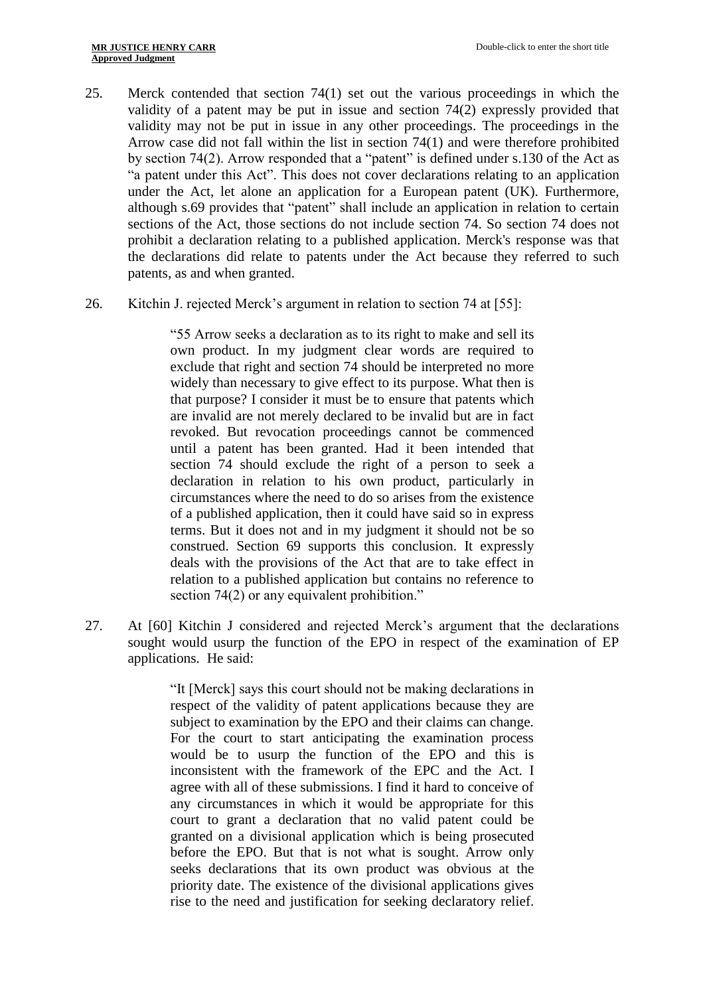- 25. Merck contended that section 74(1) set out the various proceedings in which the validity of a patent may be put in issue and section 74(2) expressly provided that validity may not be put in issue in any other proceedings. The proceedings in the Arrow case did not fall within the list in section 74(1) and were therefore prohibited by section 74(2). Arrow responded that a "patent" is defined under s.130 of the Act as "a patent under this Act". This does not cover declarations relating to an application under the Act, let alone an application for a European patent (UK). Furthermore, although s.69 provides that "patent" shall include an application in relation to certain sections of the Act, those sections do not include section 74. So section 74 does not prohibit a declaration relating to a published application. Merck's response was that the declarations did relate to patents under the Act because they referred to such patents, as and when granted.
- 26. Kitchin J. rejected Merck's argument in relation to section 74 at [55]:

"55 Arrow seeks a declaration as to its right to make and sell its own product. In my judgment clear words are required to exclude that right and section 74 should be interpreted no more widely than necessary to give effect to its purpose. What then is that purpose? I consider it must be to ensure that patents which are invalid are not merely declared to be invalid but are in fact revoked. But revocation proceedings cannot be commenced until a patent has been granted. Had it been intended that section 74 should exclude the right of a person to seek a declaration in relation to his own product, particularly in circumstances where the need to do so arises from the existence of a published application, then it could have said so in express terms. But it does not and in my judgment it should not be so construed. Section 69 supports this conclusion. It expressly deals with the provisions of the Act that are to take effect in relation to a published application but contains no reference to section 74(2) or any equivalent prohibition."

27. At [60] Kitchin J considered and rejected Merck's argument that the declarations sought would usurp the function of the EPO in respect of the examination of EP applications. He said:

> "It [Merck] says this court should not be making declarations in respect of the validity of patent applications because they are subject to examination by the EPO and their claims can change. For the court to start anticipating the examination process would be to usurp the function of the EPO and this is inconsistent with the framework of the EPC and the Act. I agree with all of these submissions. I find it hard to conceive of any circumstances in which it would be appropriate for this court to grant a declaration that no valid patent could be granted on a divisional application which is being prosecuted before the EPO. But that is not what is sought. Arrow only seeks declarations that its own product was obvious at the priority date. The existence of the divisional applications gives rise to the need and justification for seeking declaratory relief.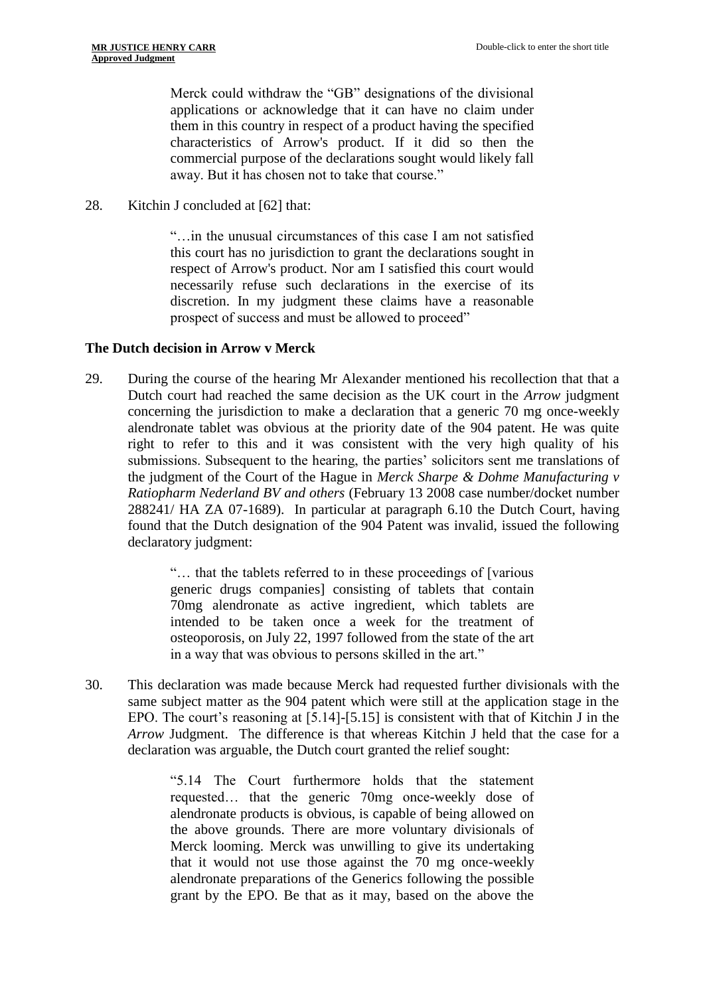Merck could withdraw the "GB" designations of the divisional applications or acknowledge that it can have no claim under them in this country in respect of a product having the specified characteristics of Arrow's product. If it did so then the commercial purpose of the declarations sought would likely fall away. But it has chosen not to take that course."

28. Kitchin J concluded at [62] that:

"…in the unusual circumstances of this case I am not satisfied this court has no jurisdiction to grant the declarations sought in respect of Arrow's product. Nor am I satisfied this court would necessarily refuse such declarations in the exercise of its discretion. In my judgment these claims have a reasonable prospect of success and must be allowed to proceed"

# **The Dutch decision in Arrow v Merck**

29. During the course of the hearing Mr Alexander mentioned his recollection that that a Dutch court had reached the same decision as the UK court in the *Arrow* judgment concerning the jurisdiction to make a declaration that a generic 70 mg once-weekly alendronate tablet was obvious at the priority date of the 904 patent. He was quite right to refer to this and it was consistent with the very high quality of his submissions. Subsequent to the hearing, the parties' solicitors sent me translations of the judgment of the Court of the Hague in *Merck Sharpe & Dohme Manufacturing v Ratiopharm Nederland BV and others* (February 13 2008 case number/docket number 288241/ HA ZA 07-1689). In particular at paragraph 6.10 the Dutch Court, having found that the Dutch designation of the 904 Patent was invalid, issued the following declaratory judgment:

> "… that the tablets referred to in these proceedings of [various generic drugs companies] consisting of tablets that contain 70mg alendronate as active ingredient, which tablets are intended to be taken once a week for the treatment of osteoporosis, on July 22, 1997 followed from the state of the art in a way that was obvious to persons skilled in the art."

30. This declaration was made because Merck had requested further divisionals with the same subject matter as the 904 patent which were still at the application stage in the EPO. The court's reasoning at [5.14]-[5.15] is consistent with that of Kitchin J in the *Arrow* Judgment. The difference is that whereas Kitchin J held that the case for a declaration was arguable, the Dutch court granted the relief sought:

> "5.14 The Court furthermore holds that the statement requested… that the generic 70mg once-weekly dose of alendronate products is obvious, is capable of being allowed on the above grounds. There are more voluntary divisionals of Merck looming. Merck was unwilling to give its undertaking that it would not use those against the 70 mg once-weekly alendronate preparations of the Generics following the possible grant by the EPO. Be that as it may, based on the above the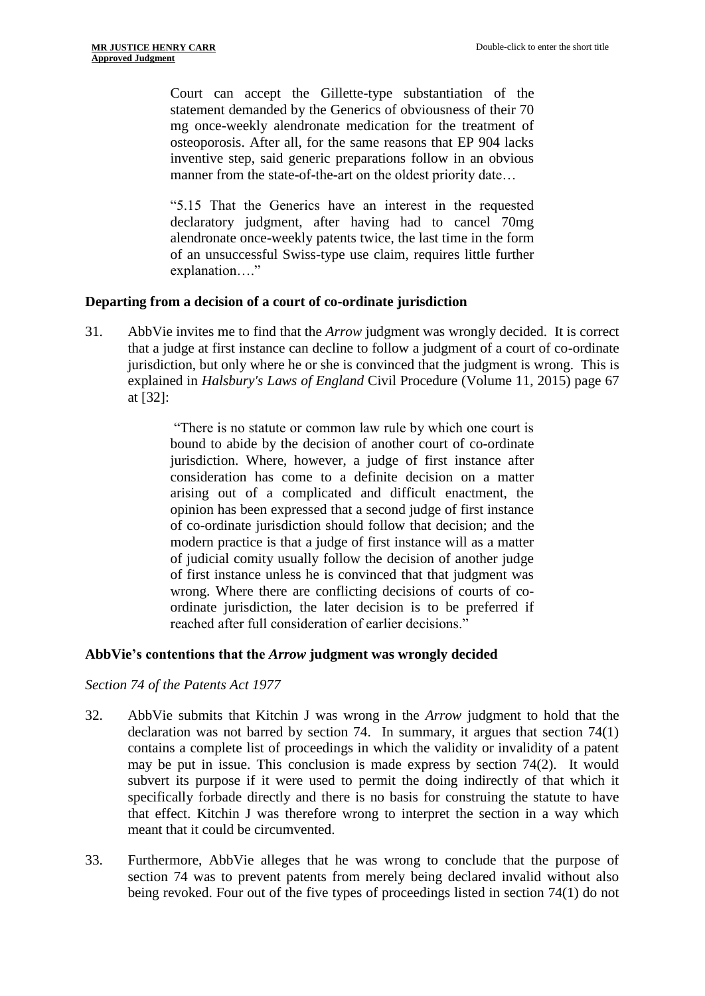Court can accept the Gillette-type substantiation of the statement demanded by the Generics of obviousness of their 70 mg once-weekly alendronate medication for the treatment of osteoporosis. After all, for the same reasons that EP 904 lacks inventive step, said generic preparations follow in an obvious manner from the state-of-the-art on the oldest priority date…

"5.15 That the Generics have an interest in the requested declaratory judgment, after having had to cancel 70mg alendronate once-weekly patents twice, the last time in the form of an unsuccessful Swiss-type use claim, requires little further explanation…."

#### **Departing from a decision of a court of co-ordinate jurisdiction**

31. AbbVie invites me to find that the *Arrow* judgment was wrongly decided. It is correct that a judge at first instance can decline to follow a judgment of a court of co-ordinate jurisdiction, but only where he or she is convinced that the judgment is wrong. This is explained in *Halsbury's Laws of England* Civil Procedure (Volume 11, 2015) page 67 at [32]:

> "There is no statute or common law rule by which one court is bound to abide by the decision of another court of co-ordinate jurisdiction. Where, however, a judge of first instance after consideration has come to a definite decision on a matter arising out of a complicated and difficult enactment, the opinion has been expressed that a second judge of first instance of co-ordinate jurisdiction should follow that decision; and the modern practice is that a judge of first instance will as a matter of judicial comity usually follow the decision of another judge of first instance unless he is convinced that that judgment was wrong. Where there are conflicting decisions of courts of coordinate jurisdiction, the later decision is to be preferred if reached after full consideration of earlier decisions."

#### **AbbVie's contentions that the** *Arrow* **judgment was wrongly decided**

*Section 74 of the Patents Act 1977*

- 32. AbbVie submits that Kitchin J was wrong in the *Arrow* judgment to hold that the declaration was not barred by section 74. In summary, it argues that section 74(1) contains a complete list of proceedings in which the validity or invalidity of a patent may be put in issue. This conclusion is made express by section 74(2). It would subvert its purpose if it were used to permit the doing indirectly of that which it specifically forbade directly and there is no basis for construing the statute to have that effect. Kitchin J was therefore wrong to interpret the section in a way which meant that it could be circumvented.
- 33. Furthermore, AbbVie alleges that he was wrong to conclude that the purpose of section 74 was to prevent patents from merely being declared invalid without also being revoked. Four out of the five types of proceedings listed in section 74(1) do not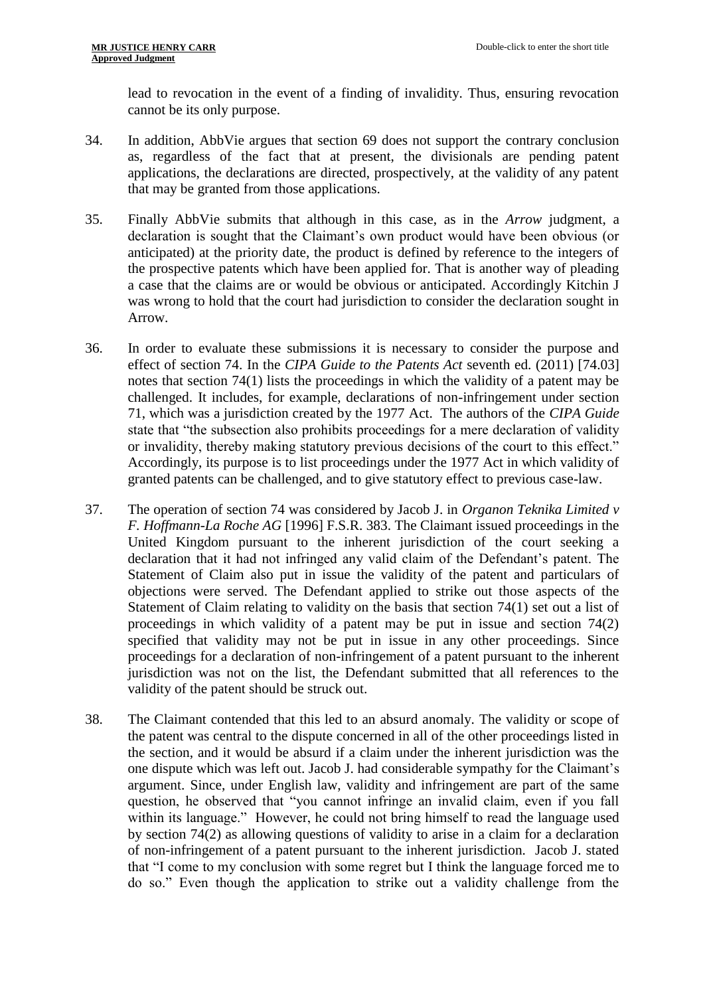lead to revocation in the event of a finding of invalidity. Thus, ensuring revocation cannot be its only purpose.

- 34. In addition, AbbVie argues that section 69 does not support the contrary conclusion as, regardless of the fact that at present, the divisionals are pending patent applications, the declarations are directed, prospectively, at the validity of any patent that may be granted from those applications.
- 35. Finally AbbVie submits that although in this case, as in the *Arrow* judgment, a declaration is sought that the Claimant's own product would have been obvious (or anticipated) at the priority date, the product is defined by reference to the integers of the prospective patents which have been applied for. That is another way of pleading a case that the claims are or would be obvious or anticipated. Accordingly Kitchin J was wrong to hold that the court had jurisdiction to consider the declaration sought in Arrow.
- 36. In order to evaluate these submissions it is necessary to consider the purpose and effect of section 74. In the *CIPA Guide to the Patents Act* seventh ed. (2011) [74.03] notes that section 74(1) lists the proceedings in which the validity of a patent may be challenged. It includes, for example, declarations of non-infringement under section 71, which was a jurisdiction created by the 1977 Act. The authors of the *CIPA Guide* state that "the subsection also prohibits proceedings for a mere declaration of validity or invalidity, thereby making statutory previous decisions of the court to this effect." Accordingly, its purpose is to list proceedings under the 1977 Act in which validity of granted patents can be challenged, and to give statutory effect to previous case-law.
- 37. The operation of section 74 was considered by Jacob J. in *Organon Teknika Limited v F. Hoffmann-La Roche AG* [1996] F.S.R. 383. The Claimant issued proceedings in the United Kingdom pursuant to the inherent jurisdiction of the court seeking a declaration that it had not infringed any valid claim of the Defendant's patent. The Statement of Claim also put in issue the validity of the patent and particulars of objections were served. The Defendant applied to strike out those aspects of the Statement of Claim relating to validity on the basis that section 74(1) set out a list of proceedings in which validity of a patent may be put in issue and section 74(2) specified that validity may not be put in issue in any other proceedings. Since proceedings for a declaration of non-infringement of a patent pursuant to the inherent jurisdiction was not on the list, the Defendant submitted that all references to the validity of the patent should be struck out.
- 38. The Claimant contended that this led to an absurd anomaly. The validity or scope of the patent was central to the dispute concerned in all of the other proceedings listed in the section, and it would be absurd if a claim under the inherent jurisdiction was the one dispute which was left out. Jacob J. had considerable sympathy for the Claimant's argument. Since, under English law, validity and infringement are part of the same question, he observed that "you cannot infringe an invalid claim, even if you fall within its language." However, he could not bring himself to read the language used by section 74(2) as allowing questions of validity to arise in a claim for a declaration of non-infringement of a patent pursuant to the inherent jurisdiction. Jacob J. stated that "I come to my conclusion with some regret but I think the language forced me to do so." Even though the application to strike out a validity challenge from the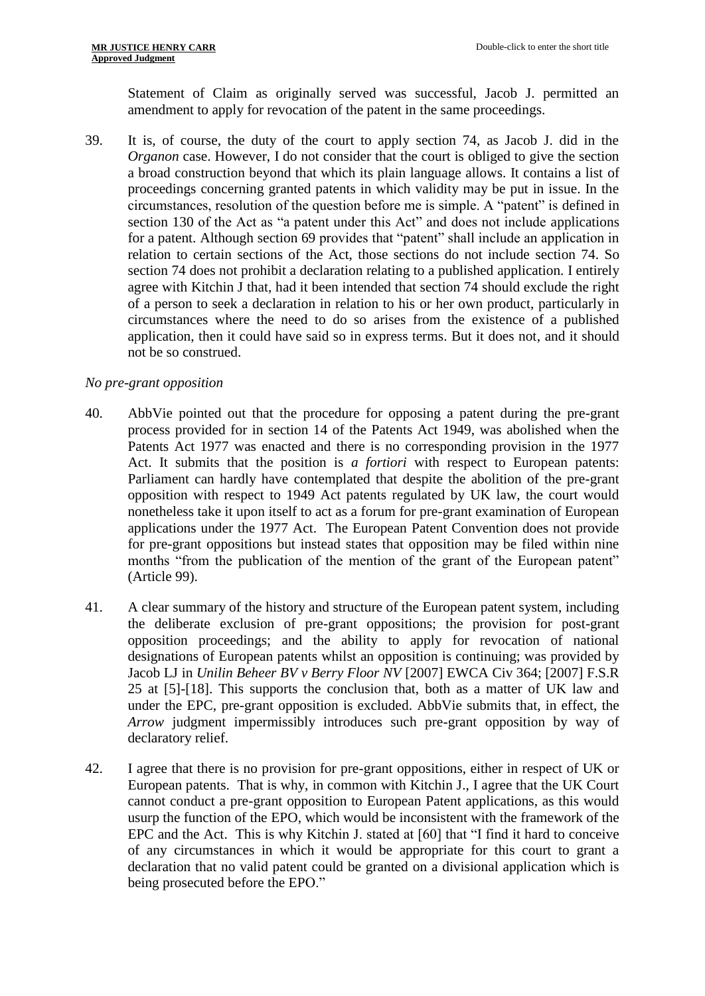Statement of Claim as originally served was successful, Jacob J. permitted an amendment to apply for revocation of the patent in the same proceedings.

39. It is, of course, the duty of the court to apply section 74, as Jacob J. did in the *Organon* case. However, I do not consider that the court is obliged to give the section a broad construction beyond that which its plain language allows. It contains a list of proceedings concerning granted patents in which validity may be put in issue. In the circumstances, resolution of the question before me is simple. A "patent" is defined in section 130 of the Act as "a patent under this Act" and does not include applications for a patent. Although section 69 provides that "patent" shall include an application in relation to certain sections of the Act, those sections do not include section 74. So section 74 does not prohibit a declaration relating to a published application. I entirely agree with Kitchin J that, had it been intended that section 74 should exclude the right of a person to seek a declaration in relation to his or her own product, particularly in circumstances where the need to do so arises from the existence of a published application, then it could have said so in express terms. But it does not, and it should not be so construed.

# *No pre-grant opposition*

- 40. AbbVie pointed out that the procedure for opposing a patent during the pre-grant process provided for in section 14 of the Patents Act 1949, was abolished when the Patents Act 1977 was enacted and there is no corresponding provision in the 1977 Act. It submits that the position is *a fortiori* with respect to European patents: Parliament can hardly have contemplated that despite the abolition of the pre-grant opposition with respect to 1949 Act patents regulated by UK law, the court would nonetheless take it upon itself to act as a forum for pre-grant examination of European applications under the 1977 Act. The European Patent Convention does not provide for pre-grant oppositions but instead states that opposition may be filed within nine months "from the publication of the mention of the grant of the European patent" (Article 99).
- 41. A clear summary of the history and structure of the European patent system, including the deliberate exclusion of pre-grant oppositions; the provision for post-grant opposition proceedings; and the ability to apply for revocation of national designations of European patents whilst an opposition is continuing; was provided by Jacob LJ in *Unilin Beheer BV v Berry Floor NV* [2007] EWCA Civ 364; [2007] F.S.R 25 at [5]-[18]. This supports the conclusion that, both as a matter of UK law and under the EPC, pre-grant opposition is excluded. AbbVie submits that, in effect, the *Arrow* judgment impermissibly introduces such pre-grant opposition by way of declaratory relief.
- 42. I agree that there is no provision for pre-grant oppositions, either in respect of UK or European patents. That is why, in common with Kitchin J., I agree that the UK Court cannot conduct a pre-grant opposition to European Patent applications, as this would usurp the function of the EPO, which would be inconsistent with the framework of the EPC and the Act. This is why Kitchin J. stated at [60] that "I find it hard to conceive of any circumstances in which it would be appropriate for this court to grant a declaration that no valid patent could be granted on a divisional application which is being prosecuted before the EPO."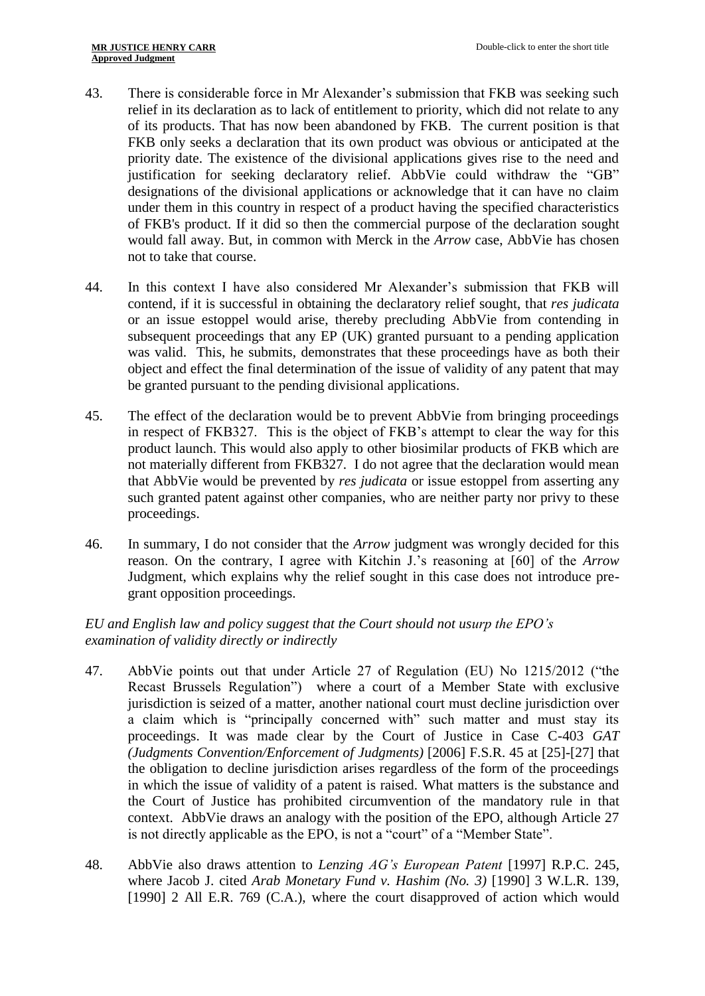- 43. There is considerable force in Mr Alexander's submission that FKB was seeking such relief in its declaration as to lack of entitlement to priority, which did not relate to any of its products. That has now been abandoned by FKB. The current position is that FKB only seeks a declaration that its own product was obvious or anticipated at the priority date. The existence of the divisional applications gives rise to the need and justification for seeking declaratory relief. AbbVie could withdraw the "GB" designations of the divisional applications or acknowledge that it can have no claim under them in this country in respect of a product having the specified characteristics of FKB's product. If it did so then the commercial purpose of the declaration sought would fall away. But, in common with Merck in the *Arrow* case, AbbVie has chosen not to take that course.
- 44. In this context I have also considered Mr Alexander's submission that FKB will contend, if it is successful in obtaining the declaratory relief sought, that *res judicata*  or an issue estoppel would arise, thereby precluding AbbVie from contending in subsequent proceedings that any EP (UK) granted pursuant to a pending application was valid. This, he submits, demonstrates that these proceedings have as both their object and effect the final determination of the issue of validity of any patent that may be granted pursuant to the pending divisional applications.
- 45. The effect of the declaration would be to prevent AbbVie from bringing proceedings in respect of FKB327. This is the object of FKB's attempt to clear the way for this product launch. This would also apply to other biosimilar products of FKB which are not materially different from FKB327. I do not agree that the declaration would mean that AbbVie would be prevented by *res judicata* or issue estoppel from asserting any such granted patent against other companies, who are neither party nor privy to these proceedings.
- 46. In summary, I do not consider that the *Arrow* judgment was wrongly decided for this reason. On the contrary, I agree with Kitchin J.'s reasoning at [60] of the *Arrow* Judgment, which explains why the relief sought in this case does not introduce pregrant opposition proceedings.

# *EU and English law and policy suggest that the Court should not usurp the EPO's examination of validity directly or indirectly*

- 47. AbbVie points out that under Article 27 of Regulation (EU) No 1215/2012 ("the Recast Brussels Regulation") where a court of a Member State with exclusive jurisdiction is seized of a matter, another national court must decline jurisdiction over a claim which is "principally concerned with" such matter and must stay its proceedings. It was made clear by the Court of Justice in Case C-403 *GAT (Judgments Convention/Enforcement of Judgments)* [2006] F.S.R. 45 at [25]-[27] that the obligation to decline jurisdiction arises regardless of the form of the proceedings in which the issue of validity of a patent is raised. What matters is the substance and the Court of Justice has prohibited circumvention of the mandatory rule in that context. AbbVie draws an analogy with the position of the EPO, although Article 27 is not directly applicable as the EPO, is not a "court" of a "Member State".
- 48. AbbVie also draws attention to *Lenzing AG's European Patent* [1997] R.P.C. 245, where Jacob J. cited *Arab Monetary Fund v. Hashim (No. 3)* [1990] 3 W.L.R. 139, [1990] 2 All E.R. 769 (C.A.), where the court disapproved of action which would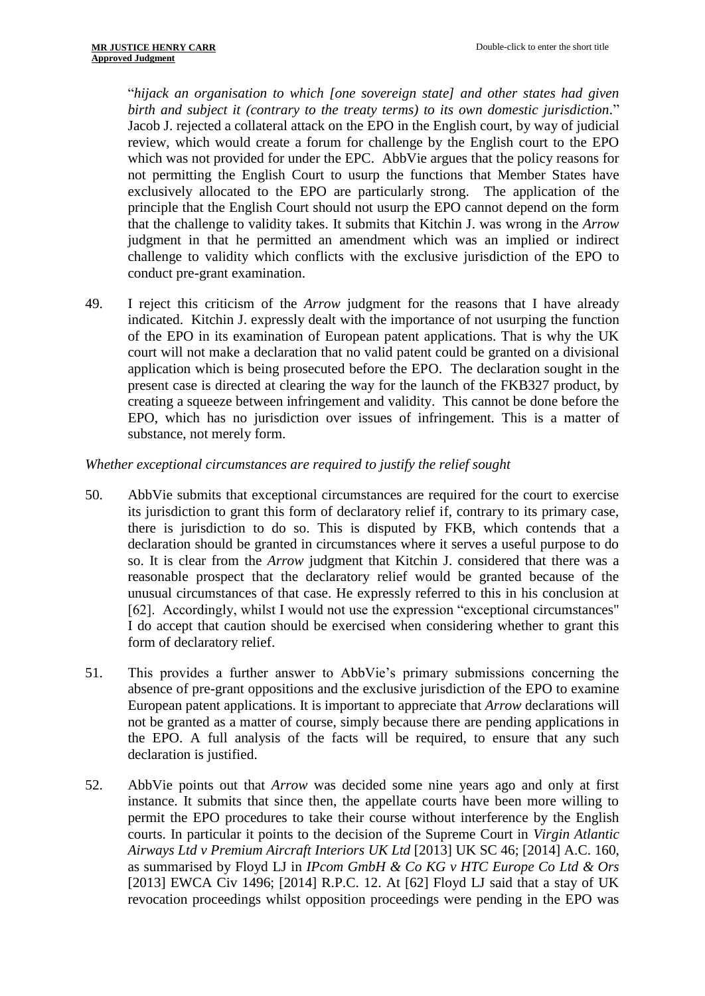"*hijack an organisation to which [one sovereign state] and other states had given birth and subject it (contrary to the treaty terms) to its own domestic jurisdiction.*" Jacob J. rejected a collateral attack on the EPO in the English court, by way of judicial review, which would create a forum for challenge by the English court to the EPO which was not provided for under the EPC. AbbVie argues that the policy reasons for not permitting the English Court to usurp the functions that Member States have exclusively allocated to the EPO are particularly strong. The application of the principle that the English Court should not usurp the EPO cannot depend on the form that the challenge to validity takes. It submits that Kitchin J. was wrong in the *Arrow* judgment in that he permitted an amendment which was an implied or indirect challenge to validity which conflicts with the exclusive jurisdiction of the EPO to conduct pre-grant examination.

49. I reject this criticism of the *Arrow* judgment for the reasons that I have already indicated. Kitchin J. expressly dealt with the importance of not usurping the function of the EPO in its examination of European patent applications. That is why the UK court will not make a declaration that no valid patent could be granted on a divisional application which is being prosecuted before the EPO. The declaration sought in the present case is directed at clearing the way for the launch of the FKB327 product, by creating a squeeze between infringement and validity. This cannot be done before the EPO, which has no jurisdiction over issues of infringement. This is a matter of substance, not merely form.

*Whether exceptional circumstances are required to justify the relief sought*

- 50. AbbVie submits that exceptional circumstances are required for the court to exercise its jurisdiction to grant this form of declaratory relief if, contrary to its primary case, there is jurisdiction to do so. This is disputed by FKB, which contends that a declaration should be granted in circumstances where it serves a useful purpose to do so. It is clear from the *Arrow* judgment that Kitchin J. considered that there was a reasonable prospect that the declaratory relief would be granted because of the unusual circumstances of that case. He expressly referred to this in his conclusion at [62]. Accordingly, whilst I would not use the expression "exceptional circumstances" I do accept that caution should be exercised when considering whether to grant this form of declaratory relief.
- 51. This provides a further answer to AbbVie's primary submissions concerning the absence of pre-grant oppositions and the exclusive jurisdiction of the EPO to examine European patent applications. It is important to appreciate that *Arrow* declarations will not be granted as a matter of course, simply because there are pending applications in the EPO. A full analysis of the facts will be required, to ensure that any such declaration is justified.
- 52. AbbVie points out that *Arrow* was decided some nine years ago and only at first instance. It submits that since then, the appellate courts have been more willing to permit the EPO procedures to take their course without interference by the English courts. In particular it points to the decision of the Supreme Court in *Virgin Atlantic Airways Ltd v Premium Aircraft Interiors UK Ltd* [2013] UK SC 46; [2014] A.C. 160, as summarised by Floyd LJ in *IPcom GmbH & Co KG v HTC Europe Co Ltd & Ors* [2013] EWCA Civ 1496; [2014] R.P.C. 12. At [62] Floyd LJ said that a stay of UK revocation proceedings whilst opposition proceedings were pending in the EPO was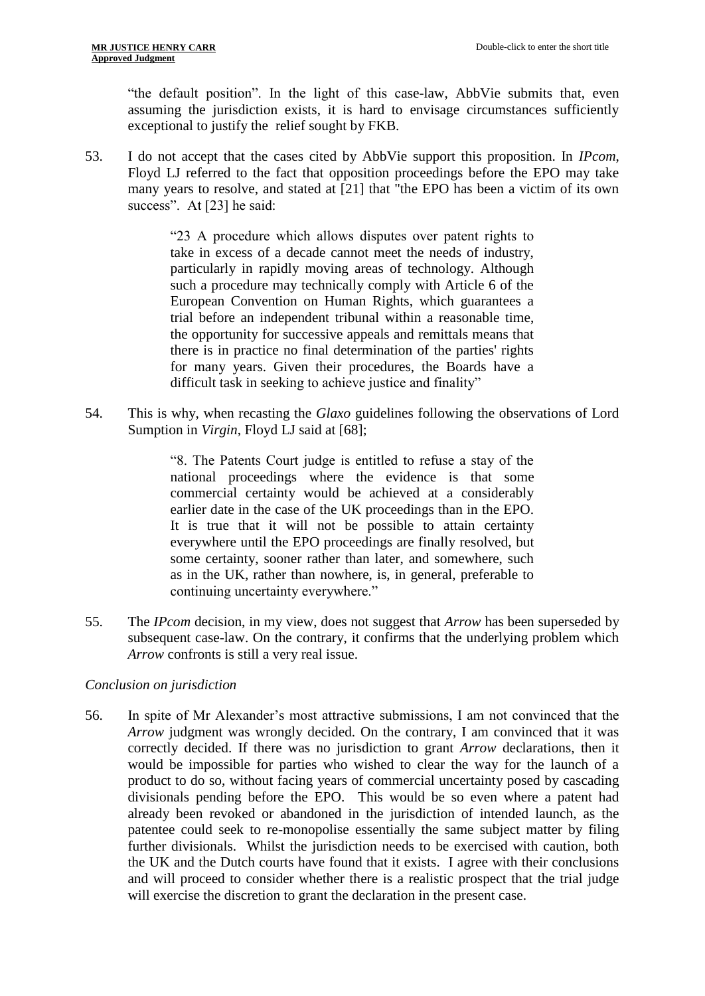"the default position". In the light of this case-law, AbbVie submits that, even assuming the jurisdiction exists, it is hard to envisage circumstances sufficiently exceptional to justify the relief sought by FKB.

53. I do not accept that the cases cited by AbbVie support this proposition. In *IPcom*, Floyd LJ referred to the fact that opposition proceedings before the EPO may take many years to resolve, and stated at [21] that "the EPO has been a victim of its own success". At [23] he said:

> "23 A procedure which allows disputes over patent rights to take in excess of a decade cannot meet the needs of industry, particularly in rapidly moving areas of technology. Although such a procedure may technically comply with Article 6 of the European Convention on Human Rights, which guarantees a trial before an independent tribunal within a reasonable time, the opportunity for successive appeals and remittals means that there is in practice no final determination of the parties' rights for many years. Given their procedures, the Boards have a difficult task in seeking to achieve justice and finality"

54. This is why, when recasting the *Glaxo* guidelines following the observations of Lord Sumption in *Virgin*, Floyd LJ said at [68];

> "8. The Patents Court judge is entitled to refuse a stay of the national proceedings where the evidence is that some commercial certainty would be achieved at a considerably earlier date in the case of the UK proceedings than in the EPO. It is true that it will not be possible to attain certainty everywhere until the EPO proceedings are finally resolved, but some certainty, sooner rather than later, and somewhere, such as in the UK, rather than nowhere, is, in general, preferable to continuing uncertainty everywhere."

55. The *IPcom* decision, in my view, does not suggest that *Arrow* has been superseded by subsequent case-law. On the contrary, it confirms that the underlying problem which *Arrow* confronts is still a very real issue.

# *Conclusion on jurisdiction*

56. In spite of Mr Alexander's most attractive submissions, I am not convinced that the *Arrow* judgment was wrongly decided. On the contrary, I am convinced that it was correctly decided. If there was no jurisdiction to grant *Arrow* declarations, then it would be impossible for parties who wished to clear the way for the launch of a product to do so, without facing years of commercial uncertainty posed by cascading divisionals pending before the EPO. This would be so even where a patent had already been revoked or abandoned in the jurisdiction of intended launch, as the patentee could seek to re-monopolise essentially the same subject matter by filing further divisionals. Whilst the jurisdiction needs to be exercised with caution, both the UK and the Dutch courts have found that it exists. I agree with their conclusions and will proceed to consider whether there is a realistic prospect that the trial judge will exercise the discretion to grant the declaration in the present case.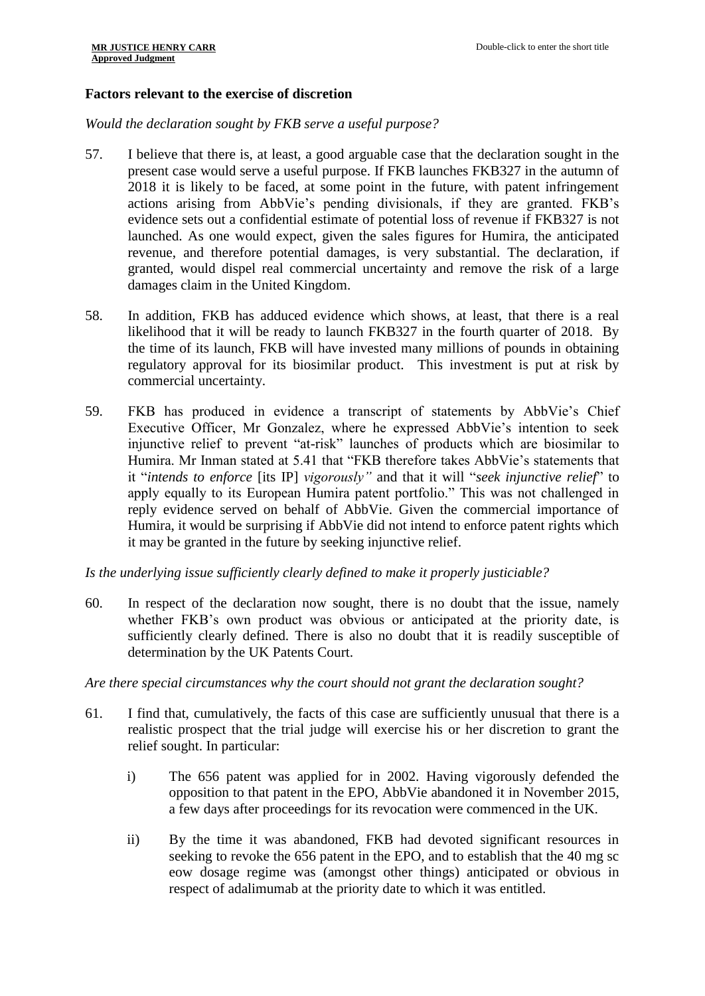## **Factors relevant to the exercise of discretion**

*Would the declaration sought by FKB serve a useful purpose?*

- 57. I believe that there is, at least, a good arguable case that the declaration sought in the present case would serve a useful purpose. If FKB launches FKB327 in the autumn of 2018 it is likely to be faced, at some point in the future, with patent infringement actions arising from AbbVie's pending divisionals, if they are granted. FKB's evidence sets out a confidential estimate of potential loss of revenue if FKB327 is not launched. As one would expect, given the sales figures for Humira, the anticipated revenue, and therefore potential damages, is very substantial. The declaration, if granted, would dispel real commercial uncertainty and remove the risk of a large damages claim in the United Kingdom.
- 58. In addition, FKB has adduced evidence which shows, at least, that there is a real likelihood that it will be ready to launch FKB327 in the fourth quarter of 2018. By the time of its launch, FKB will have invested many millions of pounds in obtaining regulatory approval for its biosimilar product. This investment is put at risk by commercial uncertainty.
- 59. FKB has produced in evidence a transcript of statements by AbbVie's Chief Executive Officer, Mr Gonzalez, where he expressed AbbVie's intention to seek injunctive relief to prevent "at-risk" launches of products which are biosimilar to Humira. Mr Inman stated at 5.41 that "FKB therefore takes AbbVie's statements that it "*intends to enforce* [its IP] *vigorously"* and that it will "*seek injunctive relief*" to apply equally to its European Humira patent portfolio." This was not challenged in reply evidence served on behalf of AbbVie. Given the commercial importance of Humira, it would be surprising if AbbVie did not intend to enforce patent rights which it may be granted in the future by seeking injunctive relief.

*Is the underlying issue sufficiently clearly defined to make it properly justiciable?*

60. In respect of the declaration now sought, there is no doubt that the issue, namely whether FKB's own product was obvious or anticipated at the priority date, is sufficiently clearly defined. There is also no doubt that it is readily susceptible of determination by the UK Patents Court.

*Are there special circumstances why the court should not grant the declaration sought?*

- 61. I find that, cumulatively, the facts of this case are sufficiently unusual that there is a realistic prospect that the trial judge will exercise his or her discretion to grant the relief sought. In particular:
	- i) The 656 patent was applied for in 2002. Having vigorously defended the opposition to that patent in the EPO, AbbVie abandoned it in November 2015, a few days after proceedings for its revocation were commenced in the UK.
	- ii) By the time it was abandoned, FKB had devoted significant resources in seeking to revoke the 656 patent in the EPO, and to establish that the 40 mg sc eow dosage regime was (amongst other things) anticipated or obvious in respect of adalimumab at the priority date to which it was entitled.